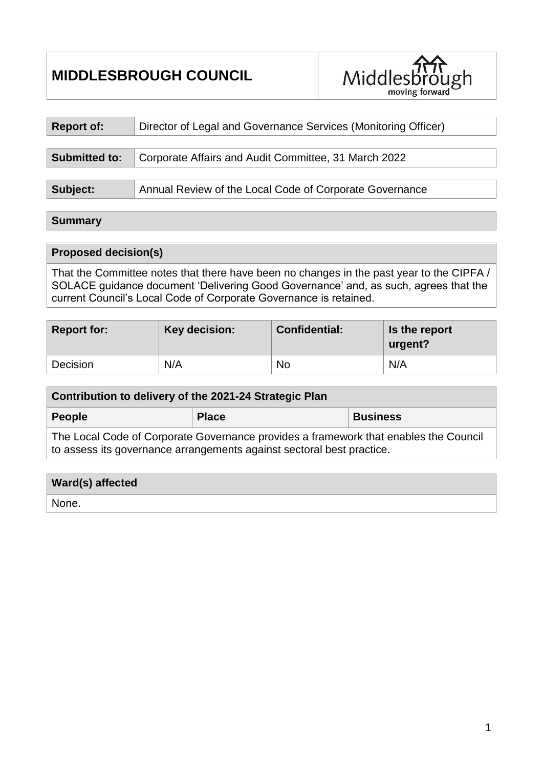# **MIDDLESBROUGH COUNCIL**



| <b>Report of:</b>    | Director of Legal and Governance Services (Monitoring Officer) |  |  |
|----------------------|----------------------------------------------------------------|--|--|
|                      |                                                                |  |  |
| <b>Submitted to:</b> | Corporate Affairs and Audit Committee, 31 March 2022           |  |  |
|                      |                                                                |  |  |
| Subject:             | Annual Review of the Local Code of Corporate Governance        |  |  |

#### **Summary**

### **Proposed decision(s)**

That the Committee notes that there have been no changes in the past year to the CIPFA / SOLACE guidance document 'Delivering Good Governance' and, as such, agrees that the current Council's Local Code of Corporate Governance is retained.

| <b>Report for:</b> | Key decision: | <b>Confidential:</b> | Is the report<br>urgent? |
|--------------------|---------------|----------------------|--------------------------|
| Decision           | N/A           | <b>No</b>            | N/A                      |

| Contribution to delivery of the 2021-24 Strategic Plan                              |              |                 |  |  |  |
|-------------------------------------------------------------------------------------|--------------|-----------------|--|--|--|
| People                                                                              | <b>Place</b> | <b>Business</b> |  |  |  |
| The Lecal Cade of Carpente Covernance provides a framework that enables the Council |              |                 |  |  |  |

The Local Code of Corporate Governance provides a framework that enables the Council to assess its governance arrangements against sectoral best practice.

| Ward(s) affected |  |
|------------------|--|
| None.            |  |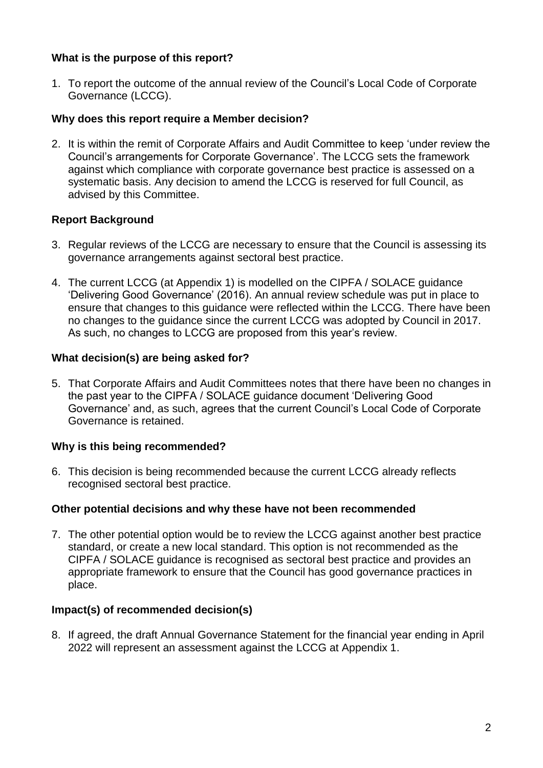### **What is the purpose of this report?**

1. To report the outcome of the annual review of the Council's Local Code of Corporate Governance (LCCG).

### **Why does this report require a Member decision?**

2. It is within the remit of Corporate Affairs and Audit Committee to keep 'under review the Council's arrangements for Corporate Governance'. The LCCG sets the framework against which compliance with corporate governance best practice is assessed on a systematic basis. Any decision to amend the LCCG is reserved for full Council, as advised by this Committee.

## **Report Background**

- 3. Regular reviews of the LCCG are necessary to ensure that the Council is assessing its governance arrangements against sectoral best practice.
- 4. The current LCCG (at Appendix 1) is modelled on the CIPFA / SOLACE guidance 'Delivering Good Governance' (2016). An annual review schedule was put in place to ensure that changes to this guidance were reflected within the LCCG. There have been no changes to the guidance since the current LCCG was adopted by Council in 2017. As such, no changes to LCCG are proposed from this year's review.

## **What decision(s) are being asked for?**

5. That Corporate Affairs and Audit Committees notes that there have been no changes in the past year to the CIPFA / SOLACE guidance document 'Delivering Good Governance' and, as such, agrees that the current Council's Local Code of Corporate Governance is retained.

#### **Why is this being recommended?**

6. This decision is being recommended because the current LCCG already reflects recognised sectoral best practice.

#### **Other potential decisions and why these have not been recommended**

7. The other potential option would be to review the LCCG against another best practice standard, or create a new local standard. This option is not recommended as the CIPFA / SOLACE guidance is recognised as sectoral best practice and provides an appropriate framework to ensure that the Council has good governance practices in place.

#### **Impact(s) of recommended decision(s)**

8. If agreed, the draft Annual Governance Statement for the financial year ending in April 2022 will represent an assessment against the LCCG at Appendix 1.